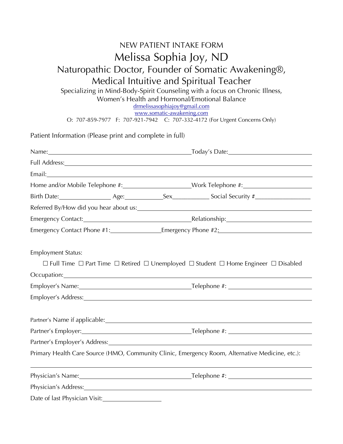## NEW PATIENT INTAKE FORM Melissa Sophia Joy, ND Naturopathic Doctor, Founder of Somatic Awakening®, Medical Intuitive and Spiritual Teacher Specializing in Mind-Body-Spirit Counseling with a focus on Chronic Illness, Women's Health and Hormonal/Emotional Balance drmelissasophiajoy@gmail.com

www.somatic-awakening.com

O: 707-859-7977 F: 707-921-7942 C: 707-332-4172 (For Urgent Concerns Only)

| Patient Information (Please print and complete in full)                                                                                                                                                                        |  |                                                                                                                                                                                                                                |
|--------------------------------------------------------------------------------------------------------------------------------------------------------------------------------------------------------------------------------|--|--------------------------------------------------------------------------------------------------------------------------------------------------------------------------------------------------------------------------------|
|                                                                                                                                                                                                                                |  |                                                                                                                                                                                                                                |
|                                                                                                                                                                                                                                |  |                                                                                                                                                                                                                                |
|                                                                                                                                                                                                                                |  |                                                                                                                                                                                                                                |
|                                                                                                                                                                                                                                |  | Home and/or Mobile Telephone #: _______________________Work Telephone #: ___________________________                                                                                                                           |
|                                                                                                                                                                                                                                |  |                                                                                                                                                                                                                                |
|                                                                                                                                                                                                                                |  |                                                                                                                                                                                                                                |
|                                                                                                                                                                                                                                |  |                                                                                                                                                                                                                                |
|                                                                                                                                                                                                                                |  | Emergency Contact Phone #1: Fig. 2.1 [2010] Emergency Phone #2:                                                                                                                                                                |
|                                                                                                                                                                                                                                |  |                                                                                                                                                                                                                                |
| <b>Employment Status:</b>                                                                                                                                                                                                      |  |                                                                                                                                                                                                                                |
|                                                                                                                                                                                                                                |  | $\Box$ Full Time $\Box$ Part Time $\Box$ Retired $\Box$ Unemployed $\Box$ Student $\Box$ Home Engineer $\Box$ Disabled                                                                                                         |
| Occupation: Contract Contract Contract Contract Contract Contract Contract Contract Contract Contract Contract Contract Contract Contract Contract Contract Contract Contract Contract Contract Contract Contract Contract Con |  |                                                                                                                                                                                                                                |
|                                                                                                                                                                                                                                |  |                                                                                                                                                                                                                                |
|                                                                                                                                                                                                                                |  | Employer's Address: Note that the set of the set of the set of the set of the set of the set of the set of the set of the set of the set of the set of the set of the set of the set of the set of the set of the set of the s |
|                                                                                                                                                                                                                                |  |                                                                                                                                                                                                                                |
|                                                                                                                                                                                                                                |  | Partner's Name if applicable: <u>and the contract of the contract of the contract of the contract of the contract of</u>                                                                                                       |
|                                                                                                                                                                                                                                |  |                                                                                                                                                                                                                                |
|                                                                                                                                                                                                                                |  | Partner's Employer's Address: Universe and American control of the Control of the Control of the Control of the Control of the Control of the Control of the Control of the Control of the Control of the Control of the Contr |
|                                                                                                                                                                                                                                |  | Primary Health Care Source (HMO, Community Clinic, Emergency Room, Alternative Medicine, etc.):                                                                                                                                |
|                                                                                                                                                                                                                                |  |                                                                                                                                                                                                                                |
| Physician's Address: Note and the set of the set of the set of the set of the set of the set of the set of the                                                                                                                 |  |                                                                                                                                                                                                                                |
| Date of last Physician Visit:<br><u>Date of last Physician Visit:</u>                                                                                                                                                          |  |                                                                                                                                                                                                                                |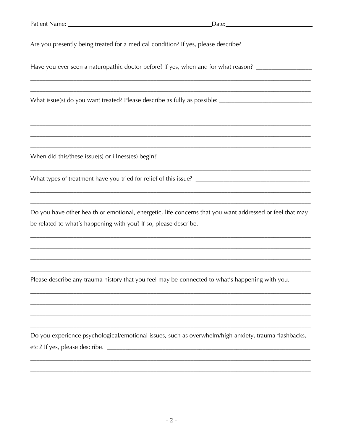Are you presently being treated for a medical condition? If yes, please describe?

Have you ever seen a naturopathic doctor before? If yes, when and for what reason? \_\_\_\_\_\_\_\_\_\_\_\_\_\_\_\_\_

Do you have other health or emotional, energetic, life concerns that you want addressed or feel that may be related to what's happening with you? If so, please describe.

Please describe any trauma history that you feel may be connected to what's happening with you.

Do you experience psychological/emotional issues, such as overwhelm/high anxiety, trauma flashbacks,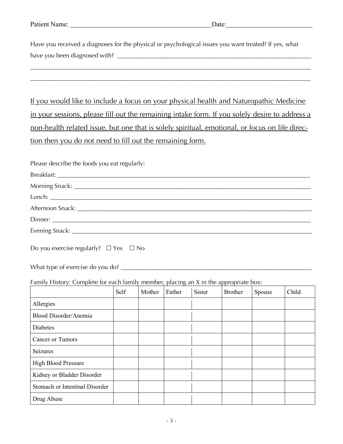| Patient Name: | Jate: |
|---------------|-------|
|               |       |

Have you received a diagnoses for the physical or psychological issues you want treated? If yes, what have you been diagnosed with? \_\_\_\_\_\_\_\_\_\_\_\_\_\_\_\_\_\_\_\_\_\_\_\_\_\_\_\_\_\_\_\_\_\_\_\_\_\_\_\_\_\_\_\_\_\_\_\_\_\_\_\_\_\_\_\_\_\_\_\_\_\_\_

If you would like to include a focus on your physical health and Naturopathic Medicine in your sessions, please fill out the remaining intake form. If you solely desire to address a non-health related issue, but one that is solely spiritual, emotional, or focus on life direction then you do not need to fill out the remaining form.

\_\_\_\_\_\_\_\_\_\_\_\_\_\_\_\_\_\_\_\_\_\_\_\_\_\_\_\_\_\_\_\_\_\_\_\_\_\_\_\_\_\_\_\_\_\_\_\_\_\_\_\_\_\_\_\_\_\_\_\_\_\_\_\_\_\_\_\_\_\_\_\_\_\_\_\_\_\_\_\_\_\_\_\_\_\_\_\_\_\_\_

Please describe the foods you eat regularly:

| Dinner: <u>University of the Community of the Community of the Community of the Community of the Community of the Community of the Community of the Community of the Community of the Community of the Community of the Communit</u> |      |        |        |        |                |        |       |
|--------------------------------------------------------------------------------------------------------------------------------------------------------------------------------------------------------------------------------------|------|--------|--------|--------|----------------|--------|-------|
|                                                                                                                                                                                                                                      |      |        |        |        |                |        |       |
| Do you exercise regularly? $\Box$ Yes $\Box$ No                                                                                                                                                                                      |      |        |        |        |                |        |       |
| Family History: Complete for each family member, placing an X in the appropriate box:                                                                                                                                                |      |        |        |        |                |        |       |
|                                                                                                                                                                                                                                      | Self | Mother | Father | Sister | <b>Brother</b> | Spouse | Child |
| Allergies                                                                                                                                                                                                                            |      |        |        |        |                |        |       |
| <b>Blood Disorder/Anemia</b>                                                                                                                                                                                                         |      |        |        |        |                |        |       |
| Diabetes                                                                                                                                                                                                                             |      |        |        |        |                |        |       |
| <b>Cancer or Tumors</b>                                                                                                                                                                                                              |      |        |        |        |                |        |       |
| Seizures                                                                                                                                                                                                                             |      |        |        |        |                |        |       |
| <b>High Blood Pressure</b>                                                                                                                                                                                                           |      |        |        |        |                |        |       |
| Kidney or Bladder Disorder                                                                                                                                                                                                           |      |        |        |        |                |        |       |
| Stomach or Intestinal Disorder                                                                                                                                                                                                       |      |        |        |        |                |        |       |
| Drug Abuse                                                                                                                                                                                                                           |      |        |        |        |                |        |       |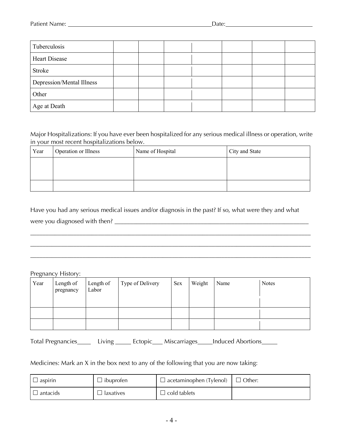| Tuberculosis              |  |  |  |  |
|---------------------------|--|--|--|--|
| <b>Heart Disease</b>      |  |  |  |  |
| Stroke                    |  |  |  |  |
| Depression/Mental Illness |  |  |  |  |
| Other                     |  |  |  |  |
| Age at Death              |  |  |  |  |

Major Hospitalizations: If you have ever been hospitalized for any serious medical illness or operation, write in your most recent hospitalizations below.

| Year | Operation or Illness | Name of Hospital | City and State |
|------|----------------------|------------------|----------------|
|      |                      |                  |                |
|      |                      |                  |                |
|      |                      |                  |                |

Have you had any serious medical issues and/or diagnosis in the past? If so, what were they and what were you diagnosed with then? \_\_\_\_\_\_\_\_\_\_\_\_\_\_\_\_\_\_\_\_\_\_\_\_\_\_\_\_\_\_\_\_\_\_\_\_\_\_\_\_\_\_\_\_\_\_\_\_\_\_\_\_\_\_\_\_\_\_\_\_\_\_\_

\_\_\_\_\_\_\_\_\_\_\_\_\_\_\_\_\_\_\_\_\_\_\_\_\_\_\_\_\_\_\_\_\_\_\_\_\_\_\_\_\_\_\_\_\_\_\_\_\_\_\_\_\_\_\_\_\_\_\_\_\_\_\_\_\_\_\_\_\_\_\_\_\_\_\_\_\_\_\_\_\_\_\_\_\_\_\_\_\_\_\_ \_\_\_\_\_\_\_\_\_\_\_\_\_\_\_\_\_\_\_\_\_\_\_\_\_\_\_\_\_\_\_\_\_\_\_\_\_\_\_\_\_\_\_\_\_\_\_\_\_\_\_\_\_\_\_\_\_\_\_\_\_\_\_\_\_\_\_\_\_\_\_\_\_\_\_\_\_\_\_\_\_\_\_\_\_\_\_\_\_\_\_

## Pregnancy History:

| Year | Length of<br>pregnancy | Length of<br>Labor | Type of Delivery | Sex | Weight | Name | <b>Notes</b> |
|------|------------------------|--------------------|------------------|-----|--------|------|--------------|
|      |                        |                    |                  |     |        |      |              |
|      |                        |                    |                  |     |        |      |              |
|      |                        |                    |                  |     |        |      |              |

Total Pregnancies \_\_\_\_\_ Living \_\_\_\_\_ Ectopic \_\_\_ Miscarriages \_\_\_\_ Induced Abortions \_\_\_\_\_

## Medicines: Mark an X in the box next to any of the following that you are now taking:

| $\Box$<br>aspirin | ibuproten | $\Box$ acetaminophen (Tylenol) | Other: |
|-------------------|-----------|--------------------------------|--------|
| antacids          | laxatives | cold tablets                   |        |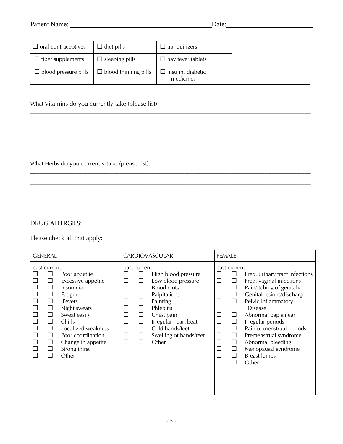| $\Box$ oral contraceptives  | l diet pills                | tranquilizers                  |  |
|-----------------------------|-----------------------------|--------------------------------|--|
| $\Box$ fiber supplements    | $\Box$ sleeping pills       | $\Box$ hay fever tablets       |  |
| $\Box$ blood pressure pills | $\Box$ blood thinning pills | insulin, diabetic<br>medicines |  |

\_\_\_\_\_\_\_\_\_\_\_\_\_\_\_\_\_\_\_\_\_\_\_\_\_\_\_\_\_\_\_\_\_\_\_\_\_\_\_\_\_\_\_\_\_\_\_\_\_\_\_\_\_\_\_\_\_\_\_\_\_\_\_\_\_\_\_\_\_\_\_\_\_\_\_\_\_\_\_\_\_\_\_\_\_\_\_\_\_\_\_ \_\_\_\_\_\_\_\_\_\_\_\_\_\_\_\_\_\_\_\_\_\_\_\_\_\_\_\_\_\_\_\_\_\_\_\_\_\_\_\_\_\_\_\_\_\_\_\_\_\_\_\_\_\_\_\_\_\_\_\_\_\_\_\_\_\_\_\_\_\_\_\_\_\_\_\_\_\_\_\_\_\_\_\_\_\_\_\_\_\_\_ \_\_\_\_\_\_\_\_\_\_\_\_\_\_\_\_\_\_\_\_\_\_\_\_\_\_\_\_\_\_\_\_\_\_\_\_\_\_\_\_\_\_\_\_\_\_\_\_\_\_\_\_\_\_\_\_\_\_\_\_\_\_\_\_\_\_\_\_\_\_\_\_\_\_\_\_\_\_\_\_\_\_\_\_\_\_\_\_\_\_\_

\_\_\_\_\_\_\_\_\_\_\_\_\_\_\_\_\_\_\_\_\_\_\_\_\_\_\_\_\_\_\_\_\_\_\_\_\_\_\_\_\_\_\_\_\_\_\_\_\_\_\_\_\_\_\_\_\_\_\_\_\_\_\_\_\_\_\_\_\_\_\_\_\_\_\_\_\_\_\_\_\_\_\_\_\_\_\_\_\_\_\_ \_\_\_\_\_\_\_\_\_\_\_\_\_\_\_\_\_\_\_\_\_\_\_\_\_\_\_\_\_\_\_\_\_\_\_\_\_\_\_\_\_\_\_\_\_\_\_\_\_\_\_\_\_\_\_\_\_\_\_\_\_\_\_\_\_\_\_\_\_\_\_\_\_\_\_\_\_\_\_\_\_\_\_\_\_\_\_\_\_\_\_ \_\_\_\_\_\_\_\_\_\_\_\_\_\_\_\_\_\_\_\_\_\_\_\_\_\_\_\_\_\_\_\_\_\_\_\_\_\_\_\_\_\_\_\_\_\_\_\_\_\_\_\_\_\_\_\_\_\_\_\_\_\_\_\_\_\_\_\_\_\_\_\_\_\_\_\_\_\_\_\_\_\_\_\_\_\_\_\_\_\_\_

\_\_\_\_\_\_\_\_\_\_\_\_\_\_\_\_\_\_\_\_\_\_\_\_\_\_\_\_\_\_\_\_\_\_\_\_\_\_\_\_\_\_\_\_\_\_\_\_\_\_\_\_\_\_\_\_\_\_\_\_\_\_\_\_\_\_\_\_\_\_\_\_\_\_\_\_\_\_\_\_\_\_\_\_\_\_\_\_\_\_\_

What Vitamins do you currently take (please list):

What Herbs do you currently take (please list):

DRUG ALLERGIES:

## Please check all that apply:

| <b>GENERAL</b>                                                                                                                                                                                                                                                                                                                                                                                | CARDIOVASCULAR                                                                                                                                                                                                                                                                                                                                  | <b>FEMALE</b>                                                                                                                                                                                                                                                                                                                                                                                                                                                                                                                                                                                                                                                                                    |  |  |
|-----------------------------------------------------------------------------------------------------------------------------------------------------------------------------------------------------------------------------------------------------------------------------------------------------------------------------------------------------------------------------------------------|-------------------------------------------------------------------------------------------------------------------------------------------------------------------------------------------------------------------------------------------------------------------------------------------------------------------------------------------------|--------------------------------------------------------------------------------------------------------------------------------------------------------------------------------------------------------------------------------------------------------------------------------------------------------------------------------------------------------------------------------------------------------------------------------------------------------------------------------------------------------------------------------------------------------------------------------------------------------------------------------------------------------------------------------------------------|--|--|
| past current<br>Poor appetite<br>Excessive appetite<br>⊔<br>Insomnia<br>$\Box$<br>Fatigue<br>$\Box$<br>$\Box$<br>Fevers<br>$\Box$<br>Night sweats<br>Sweat easily<br>$\overline{\phantom{a}}$<br>$\vert \ \vert$<br>Chills<br>$\Box$<br>$\Box$<br>Localized weakness<br>$\perp$<br>Poor coordination<br>$\vert \ \ \vert$<br>$\Box$<br>Change in appetite<br>$\Box$<br>Strong thirst<br>Other | past current<br>High blood pressure<br>Low blood pressure<br>$\Box$<br><b>Blood clots</b><br>⊔<br>Palpitations<br>$\Box$<br>Fainting<br>⊔<br>Phlebitis<br>$\overline{\phantom{a}}$<br>Chest pain<br>$\Box$<br>Irregular heart beat<br>$\Box$<br>П<br>Cold hands/feet<br>$\Box$<br>$\Box$<br>Swelling of hands/feet<br>$\Box$<br>$\Box$<br>Other | past current<br>$\Box$<br>Freq. urinary tract infections<br>$\Box$<br>Freq. vaginal infections<br>$\Box$<br>Pain/itching of genitalia<br>$\Box$<br>⊔<br>Genital lesions/discharge<br>$\Box$<br>$\Box$<br>$\overline{\phantom{a}}$<br>Pelvic Inflammatory<br>Ш<br><b>Disease</b><br>$\mathcal{L}$<br>Abnormal pap smear<br>ப<br>$\overline{\phantom{a}}$<br>Irregular periods<br>$\Box$<br>$\Box$<br>Painful menstrual periods<br>$\Box$<br>Premenstrual syndrome<br>$\overline{\phantom{a}}$<br>$\Box$<br>$\Box$<br>Abnormal bleeding<br>$\Box$<br>Menopausal syndrome<br>$\overline{\phantom{a}}$<br>⊔<br>$\mathcal{L}_{\mathcal{A}}$<br><b>Breast lumps</b><br>$\Box$<br>Other<br>$\mathbf{I}$ |  |  |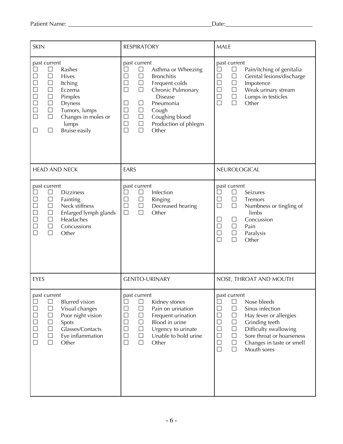| <b>SKIN</b>                                                                                                                                                                                                                                                                           | <b>RESPIRATORY</b>                                                                                                                                                                                                                                                                                                                              | <b>MALE</b>                                                                                                                                                                                                                                                                                                                                                  |  |  |
|---------------------------------------------------------------------------------------------------------------------------------------------------------------------------------------------------------------------------------------------------------------------------------------|-------------------------------------------------------------------------------------------------------------------------------------------------------------------------------------------------------------------------------------------------------------------------------------------------------------------------------------------------|--------------------------------------------------------------------------------------------------------------------------------------------------------------------------------------------------------------------------------------------------------------------------------------------------------------------------------------------------------------|--|--|
| past current<br>$\Box$<br>Rashes<br>$\Box$<br>$\Box$<br>Hives<br>$\Box$<br>$\Box$<br>Itching<br>$\Box$<br>Eczema<br>Pimples<br>$\Box$<br>$\Box$<br><b>Dryness</b><br>$\Box$<br>Tumors, lumps<br>$\Box$<br>$\Box$<br>Changes in moles or<br>lumps<br>$\Box$<br>Bruise easily<br>$\Box$ | past current<br>$\Box$<br>Asthma or Wheezing<br>$\Box$<br>$\Box$<br><b>Bronchitis</b><br>$\Box$<br>$\Box$<br>Frequent colds<br>$\Box$<br>Chronic Pulmonary<br>$\Box$<br><b>Disease</b><br>Pneumonia<br>$\Box$<br>$\Box$<br>Cough<br>$\Box$<br>$\Box$<br>Coughing blood<br>$\Box$<br>$\Box$<br>Production of phlegm<br>$\Box$<br>$\Box$<br>Other | past current<br>$\Box$<br>Pain/itching of genitalia<br>⊔<br>$\Box$<br>Genital lesions/discharge<br>$\Box$<br>$\Box$<br>$\Box$<br>Impotence<br>$\Box$<br>$\Box$<br>Weak urinary stream<br>$\Box$<br>$\Box$<br>Lumps in testicles<br>$\Box$<br>$\Box$<br>Other                                                                                                 |  |  |
| <b>HEAD AND NECK</b>                                                                                                                                                                                                                                                                  | EARS                                                                                                                                                                                                                                                                                                                                            | NEUROLOGICAL                                                                                                                                                                                                                                                                                                                                                 |  |  |
| past current<br>$\Box$<br><b>Dizziness</b><br>$\Box$<br>Fainting<br>$\Box$<br>$\Box$<br>Neck stiffness<br>$\begin{array}{c} \square \\ \square \end{array}$<br>Enlarged lymph glands<br>$\Box$<br>$\Box$<br>Headaches<br>$\Box$<br>$\Box$<br>Concussions<br>$\Box$<br>Other           | past current<br>Infection<br>$\Box$<br>Ringing<br>$\Box$<br>$\Box$<br>$\Box$<br>$\Box$<br>Decreased hearing<br>$\Box$<br>$\Box$<br>Other                                                                                                                                                                                                        | past current<br>Seizures<br>$\Box$<br>$\Box$<br>$\Box$<br>$\Box$<br>Tremors<br>$\Box$<br>$\Box$<br>Numbness or tingling of<br>limbs<br>Concussion<br>$\Box$<br>$\Box$<br>$\Box$<br>$\Box$<br>Pain<br>$\Box$<br>$\Box$<br>Paralysis<br>$\Box$<br>$\Box$<br>Other                                                                                              |  |  |
| <b>EYES</b>                                                                                                                                                                                                                                                                           | <b>GENITO-URINARY</b>                                                                                                                                                                                                                                                                                                                           | NOSE, THROAT AND MOUTH                                                                                                                                                                                                                                                                                                                                       |  |  |
| past current<br><b>Blurred</b> vision<br>$\Box$<br>$\Box$<br>Visual changes<br>00000<br>Poor night vision<br>$\Box$<br>$\Box$<br>Spots<br>Glasses/Contacts<br>$\Box$<br>$\Box$<br>Eye inflammation<br>$\Box$<br>Other                                                                 | past current<br>Kidney stones<br>$\Box$<br>$\Box$<br>Pain on urination<br>$\Box$<br>$\Box$<br>Frequent urination<br>$\Box$<br>$\Box$<br>Blood in urine<br>$\Box$<br>$\Box$<br>Urgency to urinate<br>$\Box$<br>Unable to hold urine<br>$\Box$<br>$\Box$<br>$\Box$<br>Other                                                                       | past current<br>Nose bleeds<br>$\Box$<br>$\Box$<br>$\Box$<br>$\Box$<br>Sinus infection<br>$\Box$<br>$\Box$<br>Hay fever or allergies<br>$\Box$<br>$\Box$<br>Grinding teeth<br>$\Box$<br>$\Box$<br>Difficulty swallowing<br>$\Box$<br>$\Box$<br>Sore throat or hoarseness<br>$\Box$<br>$\Box$<br>Changes in taste or smell<br>$\Box$<br>$\Box$<br>Mouth sores |  |  |